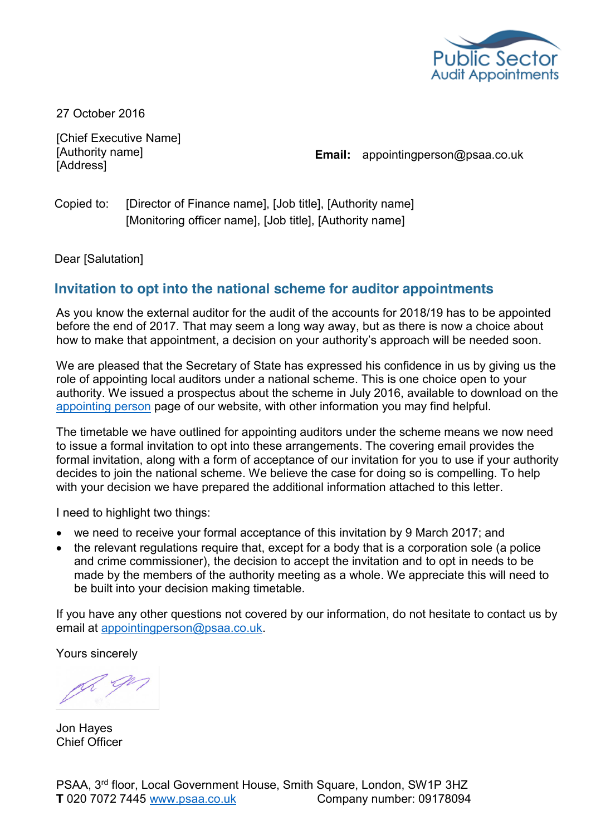

27 October 2016

[Chief Executive Name] [Authority name] **[Address]** 

**Email:** appointingperson@psaa.co.uk

Copied to: [Director of Finance name], [Job title], [Authority name] [Monitoring officer name], [Job title], [Authority name]

Dear [Salutation]

## **Invitation to opt into the national scheme for auditor appointments**

As you know the external auditor for the audit of the accounts for 2018/19 has to be appointed before the end of 2017. That may seem a long way away, but as there is now a choice about how to make that appointment, a decision on your authority's approach will be needed soon.

We are pleased that the Secretary of State has expressed his confidence in us by giving us the role of appointing local auditors under a national scheme. This is one choice open to your authority. We issued a prospectus about the scheme in July 2016, available to download on the [appointing person](http://www.psaa.co.uk/supporting-the-transition/appointing-person/) page of our website, with other information you may find helpful.

The timetable we have outlined for appointing auditors under the scheme means we now need to issue a formal invitation to opt into these arrangements. The covering email provides the formal invitation, along with a form of acceptance of our invitation for you to use if your authority decides to join the national scheme. We believe the case for doing so is compelling. To help with your decision we have prepared the additional information attached to this letter.

I need to highlight two things:

- we need to receive your formal acceptance of this invitation by 9 March 2017; and
- the relevant regulations require that, except for a body that is a corporation sole (a police and crime commissioner), the decision to accept the invitation and to opt in needs to be made by the members of the authority meeting as a whole. We appreciate this will need to be built into your decision making timetable.

If you have any other questions not covered by our information, do not hesitate to contact us by email at [appointingperson@psaa.co.uk.](mailto:appointingperson@psaa.co.uk)

Yours sincerely

L - Jl

Jon Hayes Chief Officer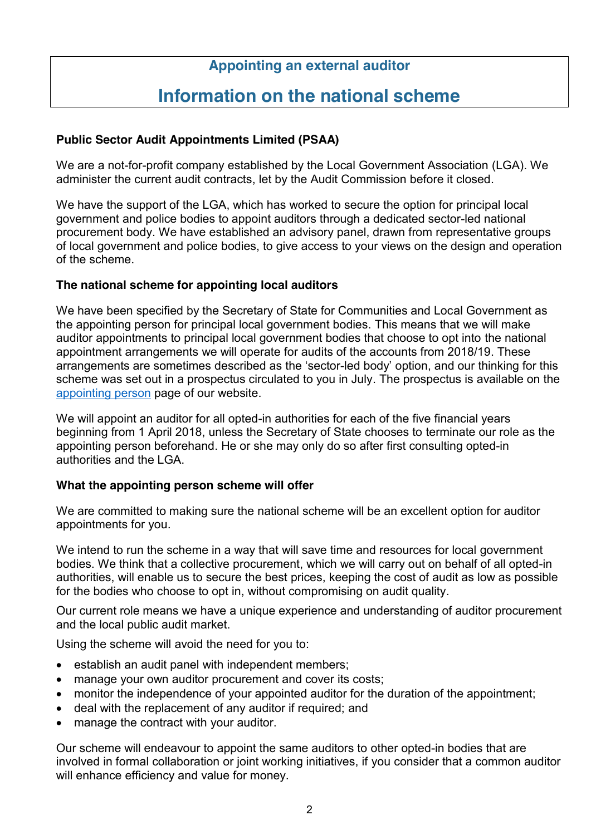# **Appointing an external auditor**

# **Information on the national scheme**

#### **Public Sector Audit Appointments Limited (PSAA)**

We are a not-for-profit company established by the Local Government Association (LGA). We administer the current audit contracts, let by the Audit Commission before it closed.

We have the support of the LGA, which has worked to secure the option for principal local government and police bodies to appoint auditors through a dedicated sector-led national procurement body. We have established an advisory panel, drawn from representative groups of local government and police bodies, to give access to your views on the design and operation of the scheme.

#### **The national scheme for appointing local auditors**

We have been specified by the Secretary of State for Communities and Local Government as the appointing person for principal local government bodies. This means that we will make auditor appointments to principal local government bodies that choose to opt into the national appointment arrangements we will operate for audits of the accounts from 2018/19. These arrangements are sometimes described as the 'sector-led body' option, and our thinking for this scheme was set out in a prospectus circulated to you in July. The prospectus is available on the [appointing person](http://www.psaa.co.uk/supporting-the-transition/appointing-person/) page of our website.

We will appoint an auditor for all opted-in authorities for each of the five financial years beginning from 1 April 2018, unless the Secretary of State chooses to terminate our role as the appointing person beforehand. He or she may only do so after first consulting opted-in authorities and the LGA.

#### **What the appointing person scheme will offer**

We are committed to making sure the national scheme will be an excellent option for auditor appointments for you.

We intend to run the scheme in a way that will save time and resources for local government bodies. We think that a collective procurement, which we will carry out on behalf of all opted-in authorities, will enable us to secure the best prices, keeping the cost of audit as low as possible for the bodies who choose to opt in, without compromising on audit quality.

Our current role means we have a unique experience and understanding of auditor procurement and the local public audit market.

Using the scheme will avoid the need for you to:

- establish an audit panel with independent members;
- manage your own auditor procurement and cover its costs;
- monitor the independence of your appointed auditor for the duration of the appointment;
- deal with the replacement of any auditor if required; and
- manage the contract with your auditor.

Our scheme will endeavour to appoint the same auditors to other opted-in bodies that are involved in formal collaboration or joint working initiatives, if you consider that a common auditor will enhance efficiency and value for money.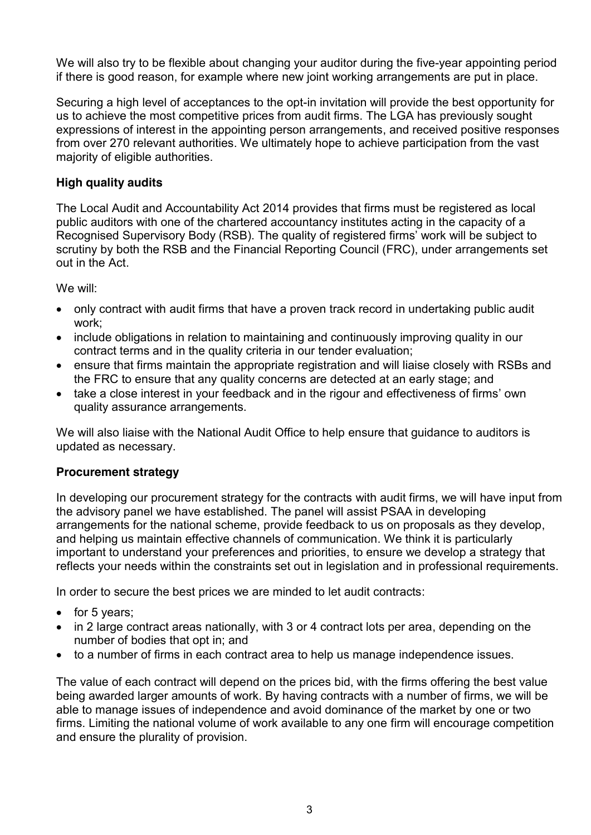We will also try to be flexible about changing your auditor during the five-year appointing period if there is good reason, for example where new joint working arrangements are put in place.

Securing a high level of acceptances to the opt-in invitation will provide the best opportunity for us to achieve the most competitive prices from audit firms. The LGA has previously sought expressions of interest in the appointing person arrangements, and received positive responses from over 270 relevant authorities. We ultimately hope to achieve participation from the vast majority of eligible authorities.

#### **High quality audits**

The Local Audit and Accountability Act 2014 provides that firms must be registered as local public auditors with one of the chartered accountancy institutes acting in the capacity of a Recognised Supervisory Body (RSB). The quality of registered firms' work will be subject to scrutiny by both the RSB and the Financial Reporting Council (FRC), under arrangements set out in the Act.

We will:

- only contract with audit firms that have a proven track record in undertaking public audit work;
- include obligations in relation to maintaining and continuously improving quality in our contract terms and in the quality criteria in our tender evaluation;
- ensure that firms maintain the appropriate registration and will liaise closely with RSBs and the FRC to ensure that any quality concerns are detected at an early stage; and
- take a close interest in your feedback and in the rigour and effectiveness of firms' own quality assurance arrangements.

We will also liaise with the National Audit Office to help ensure that guidance to auditors is updated as necessary.

#### **Procurement strategy**

In developing our procurement strategy for the contracts with audit firms, we will have input from the advisory panel we have established. The panel will assist PSAA in developing arrangements for the national scheme, provide feedback to us on proposals as they develop, and helping us maintain effective channels of communication. We think it is particularly important to understand your preferences and priorities, to ensure we develop a strategy that reflects your needs within the constraints set out in legislation and in professional requirements.

In order to secure the best prices we are minded to let audit contracts:

- $\bullet$  for 5 years;
- in 2 large contract areas nationally, with 3 or 4 contract lots per area, depending on the number of bodies that opt in; and
- to a number of firms in each contract area to help us manage independence issues.

The value of each contract will depend on the prices bid, with the firms offering the best value being awarded larger amounts of work. By having contracts with a number of firms, we will be able to manage issues of independence and avoid dominance of the market by one or two firms. Limiting the national volume of work available to any one firm will encourage competition and ensure the plurality of provision.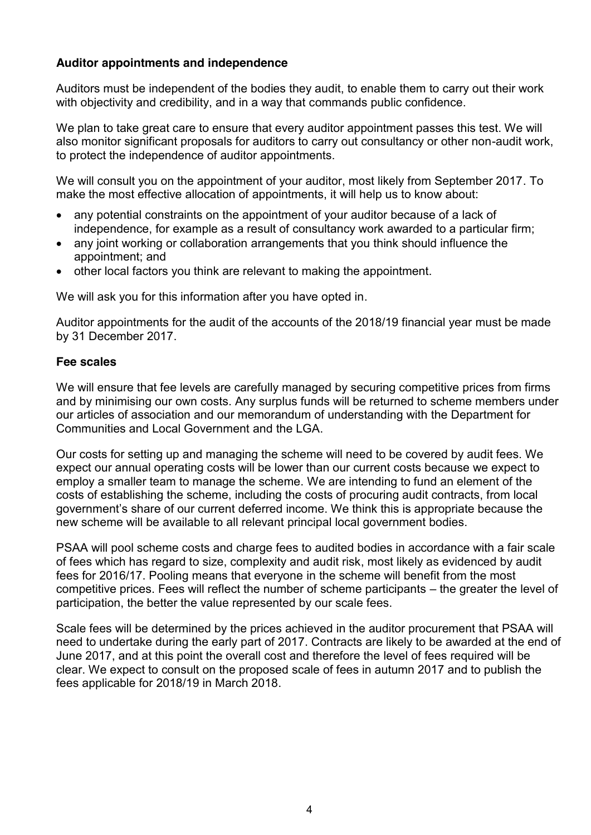#### **Auditor appointments and independence**

Auditors must be independent of the bodies they audit, to enable them to carry out their work with objectivity and credibility, and in a way that commands public confidence.

We plan to take great care to ensure that every auditor appointment passes this test. We will also monitor significant proposals for auditors to carry out consultancy or other non-audit work, to protect the independence of auditor appointments.

We will consult you on the appointment of your auditor, most likely from September 2017. To make the most effective allocation of appointments, it will help us to know about:

- any potential constraints on the appointment of your auditor because of a lack of independence, for example as a result of consultancy work awarded to a particular firm;
- any joint working or collaboration arrangements that you think should influence the appointment; and
- $\bullet$  other local factors you think are relevant to making the appointment.

We will ask you for this information after you have opted in.

Auditor appointments for the audit of the accounts of the 2018/19 financial year must be made by 31 December 2017.

#### **Fee scales**

We will ensure that fee levels are carefully managed by securing competitive prices from firms and by minimising our own costs. Any surplus funds will be returned to scheme members under our articles of association and our memorandum of understanding with the Department for Communities and Local Government and the LGA.

Our costs for setting up and managing the scheme will need to be covered by audit fees. We expect our annual operating costs will be lower than our current costs because we expect to employ a smaller team to manage the scheme. We are intending to fund an element of the costs of establishing the scheme, including the costs of procuring audit contracts, from local government's share of our current deferred income. We think this is appropriate because the new scheme will be available to all relevant principal local government bodies.

PSAA will pool scheme costs and charge fees to audited bodies in accordance with a fair scale of fees which has regard to size, complexity and audit risk, most likely as evidenced by audit fees for 2016/17. Pooling means that everyone in the scheme will benefit from the most competitive prices. Fees will reflect the number of scheme participants – the greater the level of participation, the better the value represented by our scale fees.

Scale fees will be determined by the prices achieved in the auditor procurement that PSAA will need to undertake during the early part of 2017. Contracts are likely to be awarded at the end of June 2017, and at this point the overall cost and therefore the level of fees required will be clear. We expect to consult on the proposed scale of fees in autumn 2017 and to publish the fees applicable for 2018/19 in March 2018.